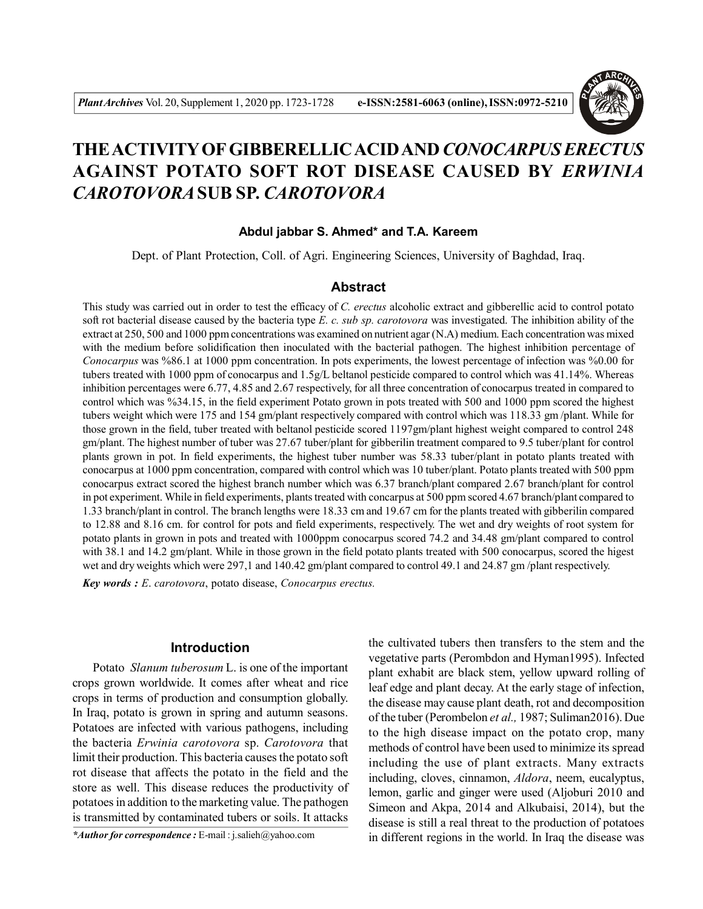

# **THE ACTIVITY OF GIBBERELLIC ACID AND** *CONOCARPUSERECTUS* **AGAINST POTATO SOFT ROT DISEASE CAUSED BY** *ERWINIA CAROTOVORA***SUB SP.** *CAROTOVORA*

## **Abdul jabbar S. Ahmed\* and T.A. Kareem**

Dept. of Plant Protection, Coll. of Agri. Engineering Sciences, University of Baghdad, Iraq.

#### **Abstract**

This study was carried out in order to test the efficacy of *C. erectus* alcoholic extract and gibberellic acid to control potato soft rot bacterial disease caused by the bacteria type *E. c. sub sp. carotovora* was investigated. The inhibition ability of the extract at 250, 500 and 1000 ppm concentrations was examined on nutrient agar (N.A) medium. Each concentration was mixed with the medium before solidification then inoculated with the bacterial pathogen. The highest inhibition percentage of *Conocarpus* was %86.1 at 1000 ppm concentration. In pots experiments, the lowest percentage of infection was %0.00 for tubers treated with 1000 ppm of conocarpus and 1.5g/L beltanol pesticide compared to control which was 41.14%. Whereas inhibition percentages were 6.77, 4.85 and 2.67 respectively, for all three concentration of conocarpus treated in compared to control which was %34.15, in the field experiment Potato grown in pots treated with 500 and 1000 ppm scored the highest tubers weight which were 175 and 154 gm/plant respectively compared with control which was 118.33 gm /plant. While for those grown in the field, tuber treated with beltanol pesticide scored 1197gm/plant highest weight compared to control 248 gm/plant. The highest number of tuber was 27.67 tuber/plant for gibberilin treatment compared to 9.5 tuber/plant for control plants grown in pot. In field experiments, the highest tuber number was 58.33 tuber/plant in potato plants treated with conocarpus at 1000 ppm concentration, compared with control which was 10 tuber/plant. Potato plants treated with 500 ppm conocarpus extract scored the highest branch number which was 6.37 branch/plant compared 2.67 branch/plant for control in pot experiment. While in field experiments, plants treated with concarpus at 500 ppm scored 4.67 branch/plant compared to 1.33 branch/plant in control. The branch lengths were 18.33 cm and 19.67 cm for the plants treated with gibberilin compared to 12.88 and 8.16 cm. for control for pots and field experiments, respectively. The wet and dry weights of root system for potato plants in grown in pots and treated with 1000ppm conocarpus scored 74.2 and 34.48 gm/plant compared to control with 38.1 and 14.2 gm/plant. While in those grown in the field potato plants treated with 500 conocarpus, scored the higest wet and dry weights which were 297,1 and 140.42 gm/plant compared to control 49.1 and 24.87 gm/plant respectively.

*Key words : E*. *carotovora*, potato disease, *Conocarpus erectus.*

## **Introduction**

Potato *Slanum tuberosum* L. is one of the important crops grown worldwide. It comes after wheat and rice crops in terms of production and consumption globally. In Iraq, potato is grown in spring and autumn seasons. Potatoes are infected with various pathogens, including the bacteria *Erwinia carotovora* sp. *Carotovora* that limit their production. This bacteria causes the potato soft rot disease that affects the potato in the field and the store as well. This disease reduces the productivity of potatoes in addition to the marketing value. The pathogen is transmitted by contaminated tubers or soils. It attacks

*\*Author for correspondence :* E-mail : j.salieh@yahoo.com

the cultivated tubers then transfers to the stem and the vegetative parts (Perombdon and Hyman1995). Infected plant exhabit are black stem, yellow upward rolling of leaf edge and plant decay. At the early stage of infection, the disease may cause plant death, rot and decomposition of the tuber (Perombelon *et al.,* 1987; Suliman2016). Due to the high disease impact on the potato crop, many methods of control have been used to minimize its spread including the use of plant extracts. Many extracts including, cloves, cinnamon, *Aldora*, neem, eucalyptus, lemon, garlic and ginger were used (Aljoburi 2010 and Simeon and Akpa, 2014 and Alkubaisi, 2014), but the disease is still a real threat to the production of potatoes in different regions in the world. In Iraq the disease was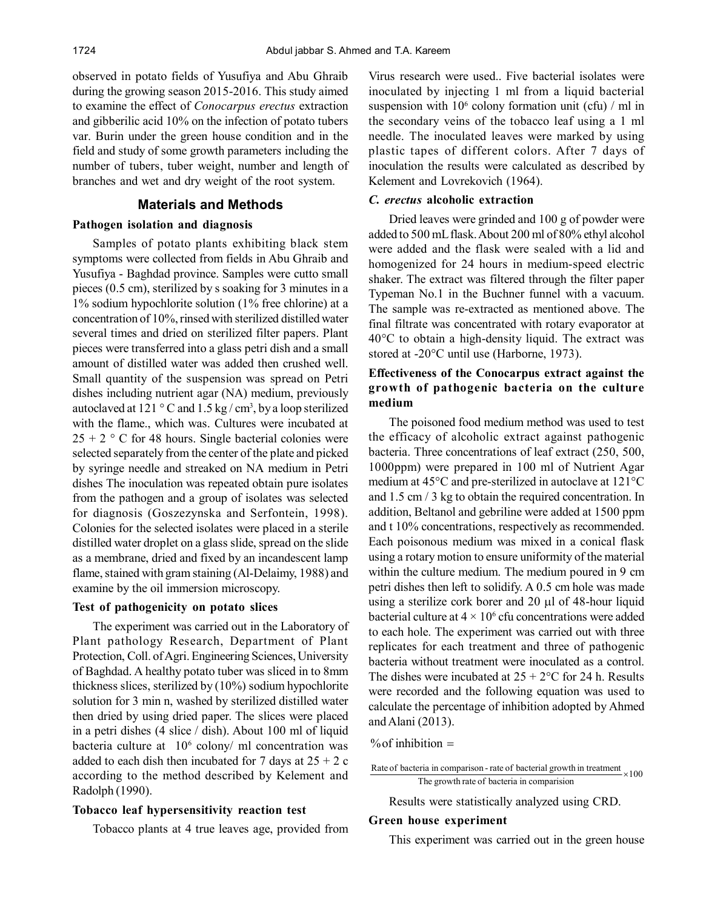observed in potato fields of Yusufiya and Abu Ghraib during the growing season 2015-2016. This study aimed to examine the effect of *Conocarpus erectus* extraction and gibberilic acid 10% on the infection of potato tubers var. Burin under the green house condition and in the field and study of some growth parameters including the number of tubers, tuber weight, number and length of branches and wet and dry weight of the root system.

#### **Materials and Methods**

#### **Pathogen isolation and diagnosis**

Samples of potato plants exhibiting black stem symptoms were collected from fields in Abu Ghraib and Yusufiya - Baghdad province. Samples were cutto small pieces (0.5 cm), sterilized by s soaking for 3 minutes in a 1% sodium hypochlorite solution (1% free chlorine) at a concentration of 10%, rinsed with sterilized distilled water several times and dried on sterilized filter papers. Plant pieces were transferred into a glass petri dish and a small amount of distilled water was added then crushed well. Small quantity of the suspension was spread on Petri dishes including nutrient agar (NA) medium, previously autoclaved at 121  $\degree$ C and 1.5 kg / cm<sup>3</sup>, by a loop sterilized with the flame., which was. Cultures were incubated at  $25 + 2$  ° C for 48 hours. Single bacterial colonies were selected separately from the center of the plate and picked by syringe needle and streaked on NA medium in Petri dishes The inoculation was repeated obtain pure isolates from the pathogen and a group of isolates was selected for diagnosis (Goszezynska and Serfontein, 1998). Colonies for the selected isolates were placed in a sterile distilled water droplet on a glass slide, spread on the slide as a membrane, dried and fixed by an incandescent lamp flame, stained with gram staining (Al-Delaimy, 1988) and examine by the oil immersion microscopy.

#### **Test of pathogenicity on potato slices**

The experiment was carried out in the Laboratory of Plant pathology Research, Department of Plant Protection, Coll. of Agri. Engineering Sciences, University of Baghdad. A healthy potato tuber was sliced in to 8mm thickness slices, sterilized by (10%) sodium hypochlorite solution for 3 min n, washed by sterilized distilled water then dried by using dried paper. The slices were placed in a petri dishes (4 slice / dish). About 100 ml of liquid bacteria culture at  $10<sup>6</sup>$  colony/ ml concentration was added to each dish then incubated for 7 days at  $25 + 2$  c according to the method described by Kelement and Radolph (1990).

# **Tobacco leaf hypersensitivity reaction test**

Tobacco plants at 4 true leaves age, provided from

Virus research were used.. Five bacterial isolates were inoculated by injecting 1 ml from a liquid bacterial suspension with  $10<sup>6</sup>$  colony formation unit (cfu) / ml in the secondary veins of the tobacco leaf using a 1 ml needle. The inoculated leaves were marked by using plastic tapes of different colors. After 7 days of inoculation the results were calculated as described by Kelement and Lovrekovich (1964).

#### *C. erectus* **alcoholic extraction**

Dried leaves were grinded and 100 g of powder were added to 500 mL flask. About 200 ml of 80% ethyl alcohol were added and the flask were sealed with a lid and homogenized for 24 hours in medium-speed electric shaker. The extract was filtered through the filter paper Typeman No.1 in the Buchner funnel with a vacuum. The sample was re-extracted as mentioned above. The final filtrate was concentrated with rotary evaporator at 40°C to obtain a high-density liquid. The extract was stored at -20°C until use (Harborne, 1973).

# **Effectiveness of the Conocarpus extract against the growth of pathogenic bacteria on the culture medium**

The poisoned food medium method was used to test the efficacy of alcoholic extract against pathogenic bacteria. Three concentrations of leaf extract (250, 500, 1000ppm) were prepared in 100 ml of Nutrient Agar medium at 45°C and pre-sterilized in autoclave at 121°C and 1.5 cm / 3 kg to obtain the required concentration. In addition, Beltanol and gebriline were added at 1500 ppm and t 10% concentrations, respectively as recommended. Each poisonous medium was mixed in a conical flask using a rotary motion to ensure uniformity of the material within the culture medium. The medium poured in 9 cm petri dishes then left to solidify. A 0.5 cm hole was made using a sterilize cork borer and 20  $\mu$ l of 48-hour liquid bacterial culture at  $4 \times 10^6$  cfu concentrations were added to each hole. The experiment was carried out with three replicates for each treatment and three of pathogenic bacteria without treatment were inoculated as a control. The dishes were incubated at  $25 + 2$ °C for 24 h. Results were recorded and the following equation was used to calculate the percentage of inhibition adopted by Ahmed and Alani (2013).

#### % of inhibition  $=$

Rate of bacteria in comparison - rate of bacterial growth in treatment  $\times 100$ The growth rate of bacteria in comparision

Results were statistically analyzed using CRD.

#### **Green house experiment**

This experiment was carried out in the green house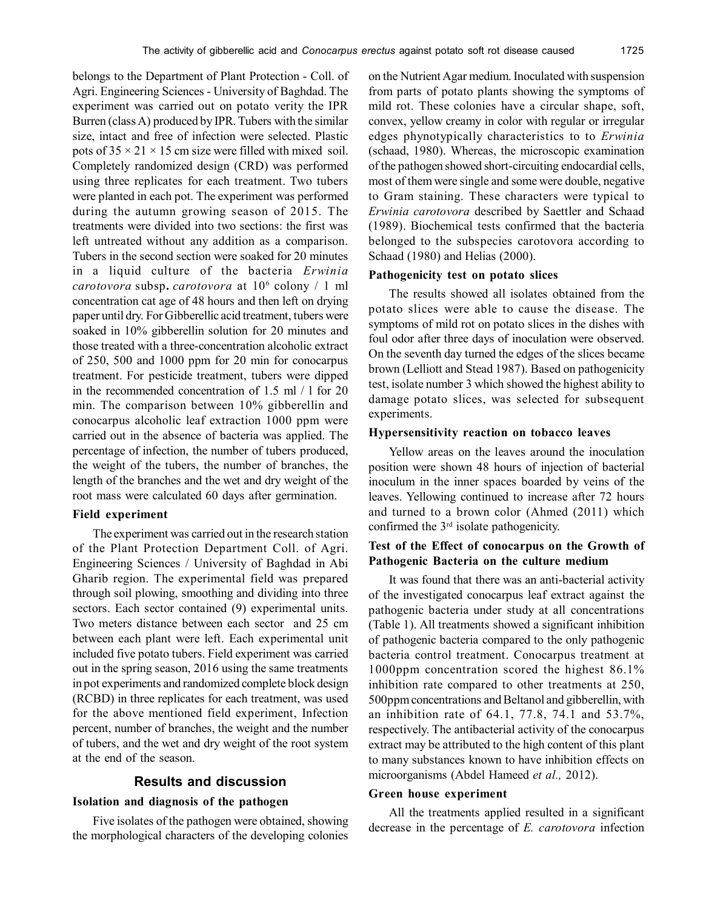belongs to the Department of Plant Protection - Coll. of Agri. Engineering Sciences - University of Baghdad. The experiment was carried out on potato verity the IPR Burren (class A) produced by IPR. Tubers with the similar size, intact and free of infection were selected. Plastic pots of  $35 \times 21 \times 15$  cm size were filled with mixed soil. Completely randomized design (CRD) was performed using three replicates for each treatment. Two tubers were planted in each pot. The experiment was performed during the autumn growing season of 2015. The treatments were divided into two sections: the first was left untreated without any addition as a comparison. Tubers in the second section were soaked for 20 minutes in a liquid culture of the bacteria *Erwinia carotovora* subsp**.** *carotovora* at 10<sup>6</sup> colony / 1 ml concentration cat age of 48 hours and then left on drying paper until dry. For Gibberellic acid treatment, tubers were soaked in 10% gibberellin solution for 20 minutes and those treated with a three-concentration alcoholic extract of 250, 500 and 1000 ppm for 20 min for conocarpus treatment. For pesticide treatment, tubers were dipped in the recommended concentration of 1.5 ml / l for 20 min. The comparison between 10% gibberellin and conocarpus alcoholic leaf extraction 1000 ppm were carried out in the absence of bacteria was applied. The percentage of infection, the number of tubers produced, the weight of the tubers, the number of branches, the length of the branches and the wet and dry weight of the root mass were calculated 60 days after germination.

#### **Field experiment**

The experiment was carried out in the research station of the Plant Protection Department Coll. of Agri. Engineering Sciences / University of Baghdad in Abi Gharib region. The experimental field was prepared through soil plowing, smoothing and dividing into three sectors. Each sector contained (9) experimental units. Two meters distance between each sector and 25 cm between each plant were left. Each experimental unit included five potato tubers. Field experiment was carried out in the spring season, 2016 using the same treatments in pot experiments and randomized complete block design (RCBD) in three replicates for each treatment, was used for the above mentioned field experiment, Infection percent, number of branches, the weight and the number of tubers, and the wet and dry weight of the root system at the end of the season.

# **Results and discussion**

#### **Isolation and diagnosis of the pathogen**

Five isolates of the pathogen were obtained, showing the morphological characters of the developing colonies

on the Nutrient Agar medium. Inoculated with suspension from parts of potato plants showing the symptoms of mild rot. These colonies have a circular shape, soft, convex, yellow creamy in color with regular or irregular edges phynotypically characteristics to to *Erwinia* (schaad, 1980). Whereas, the microscopic examination of the pathogen showed short-circuiting endocardial cells, most of them were single and some were double, negative to Gram staining. These characters were typical to *Erwinia carotovora* described by Saettler and Schaad (1989). Biochemical tests confirmed that the bacteria belonged to the subspecies carotovora according to Schaad (1980) and Helias (2000).

#### **Pathogenicity test on potato slices**

The results showed all isolates obtained from the potato slices were able to cause the disease. The symptoms of mild rot on potato slices in the dishes with foul odor after three days of inoculation were observed. On the seventh day turned the edges of the slices became brown (Lelliott and Stead 1987). Based on pathogenicity test, isolate number 3 which showed the highest ability to damage potato slices, was selected for subsequent experiments.

#### **Hypersensitivity reaction on tobacco leaves**

Yellow areas on the leaves around the inoculation position were shown 48 hours of injection of bacterial inoculum in the inner spaces boarded by veins of the leaves. Yellowing continued to increase after 72 hours and turned to a brown color (Ahmed (2011) which confirmed the 3rd isolate pathogenicity.

## **Test of the Effect of conocarpus on the Growth of Pathogenic Bacteria on the culture medium**

It was found that there was an anti-bacterial activity of the investigated conocarpus leaf extract against the pathogenic bacteria under study at all concentrations (Table 1). All treatments showed a significant inhibition of pathogenic bacteria compared to the only pathogenic bacteria control treatment. Conocarpus treatment at 1000ppm concentration scored the highest 86.1% inhibition rate compared to other treatments at 250, 500ppm concentrations and Beltanol and gibberellin, with an inhibition rate of 64.1, 77.8, 74.1 and 53.7%, respectively. The antibacterial activity of the conocarpus extract may be attributed to the high content of this plant to many substances known to have inhibition effects on microorganisms (Abdel Hameed *et al.,* 2012).

# **Green house experiment**

All the treatments applied resulted in a significant decrease in the percentage of *E. carotovora* infection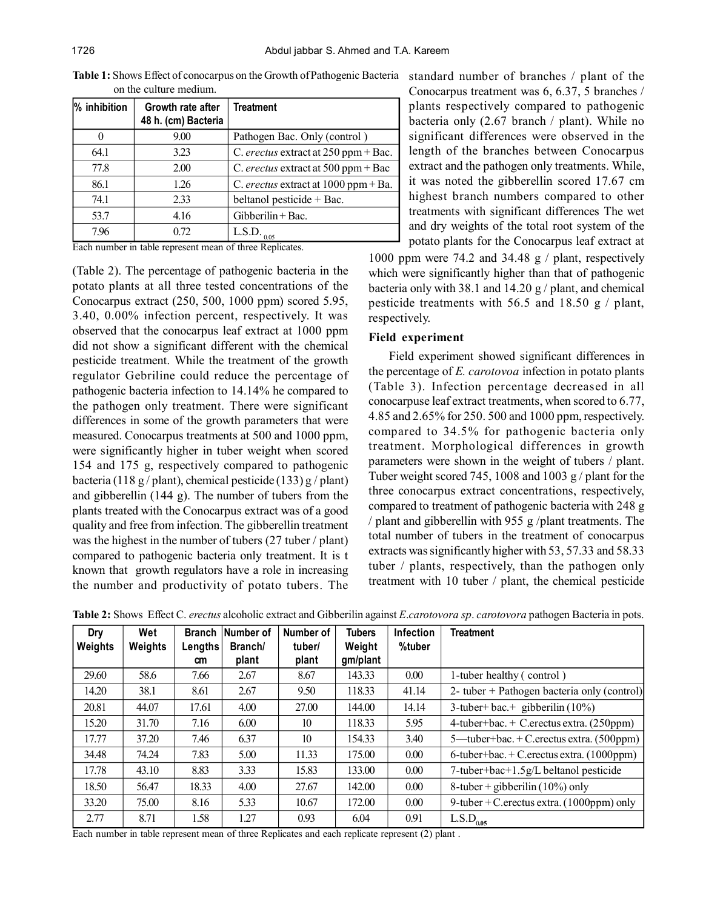| % inhibition           | Growth rate after<br>48 h. (cm) Bacteria | <b>Treatment</b>                                  |  |  |
|------------------------|------------------------------------------|---------------------------------------------------|--|--|
| $\theta$               | 9.00                                     | Pathogen Bac. Only (control)                      |  |  |
| 64.1                   | 3.23                                     | C. erectus extract at $250$ ppm + Bac.            |  |  |
| 77.8                   | 2.00                                     | C. erectus extract at 500 ppm + Bac               |  |  |
| 86.1                   | 1.26                                     | C. erectus extract at $1000$ ppm + Ba.            |  |  |
| 74.1                   | 2.33                                     | beltanol pesticide + Bac.                         |  |  |
| 53.7                   | 4.16                                     | Gibberilin + Bac.                                 |  |  |
| 7.96<br>$\mathbf{r}$ 1 | 0.72<br>$\cdot$ 1 1                      | L.S.D. $_{0.05}$<br>$\cdot$<br>$c_{\rm d}$ $\sim$ |  |  |

**Table 1:** Shows Effect of conocarpus on the Growth of Pathogenic Bacteria standard number of branches / plant of the on the culture medium.

Each number in table represent mean of three Replicates.

(Table 2). The percentage of pathogenic bacteria in the potato plants at all three tested concentrations of the Conocarpus extract (250, 500, 1000 ppm) scored 5.95, 3.40, 0.00% infection percent, respectively. It was observed that the conocarpus leaf extract at 1000 ppm did not show a significant different with the chemical pesticide treatment. While the treatment of the growth regulator Gebriline could reduce the percentage of pathogenic bacteria infection to 14.14% he compared to the pathogen only treatment. There were significant differences in some of the growth parameters that were measured. Conocarpus treatments at 500 and 1000 ppm, were significantly higher in tuber weight when scored 154 and 175 g, respectively compared to pathogenic bacteria (118 g / plant), chemical pesticide (133) g / plant) and gibberellin (144 g). The number of tubers from the plants treated with the Conocarpus extract was of a good quality and free from infection. The gibberellin treatment was the highest in the number of tubers (27 tuber / plant) compared to pathogenic bacteria only treatment. It is t known that growth regulators have a role in increasing the number and productivity of potato tubers. The

Conocarpus treatment was 6, 6.37, 5 branches / plants respectively compared to pathogenic bacteria only (2.67 branch / plant). While no significant differences were observed in the length of the branches between Conocarpus extract and the pathogen only treatments. While, it was noted the gibberellin scored 17.67 cm highest branch numbers compared to other treatments with significant differences The wet and dry weights of the total root system of the potato plants for the Conocarpus leaf extract at

1000 ppm were 74.2 and 34.48 g / plant, respectively which were significantly higher than that of pathogenic bacteria only with 38.1 and 14.20 g / plant, and chemical pesticide treatments with 56.5 and 18.50 g / plant, respectively.

#### **Field experiment**

Field experiment showed significant differences in the percentage of *E. carotovoa* infection in potato plants (Table 3). Infection percentage decreased in all conocarpuse leaf extract treatments, when scored to 6.77, 4.85 and 2.65% for 250. 500 and 1000 ppm, respectively. compared to 34.5% for pathogenic bacteria only treatment. Morphological differences in growth parameters were shown in the weight of tubers / plant. Tuber weight scored 745, 1008 and 1003 g / plant for the three conocarpus extract concentrations, respectively, compared to treatment of pathogenic bacteria with 248 g / plant and gibberellin with 955 g /plant treatments. The total number of tubers in the treatment of conocarpus extracts was significantly higher with 53, 57.33 and 58.33 tuber / plants, respectively, than the pathogen only treatment with 10 tuber / plant, the chemical pesticide

| Dry     | Wet     |                | <b>Branch Number of</b> | Number of | <b>Tubers</b> | <b>Infection</b> | <b>Treatment</b>                                |
|---------|---------|----------------|-------------------------|-----------|---------------|------------------|-------------------------------------------------|
| Weights | Weights | <b>Lengths</b> | Branch/                 | tuber/    | Weight        | %tuber           |                                                 |
|         |         | <b>cm</b>      | plant                   | plant     | gm/plant      |                  |                                                 |
| 29.60   | 58.6    | 7.66           | 2.67                    | 8.67      | 143.33        | 0.00             | 1-tuber healthy (control)                       |
| 14.20   | 38.1    | 8.61           | 2.67                    | 9.50      | 118.33        | 41.14            | 2- tuber + Pathogen bacteria only (control)     |
| 20.81   | 44.07   | 17.61          | 4.00                    | 27.00     | 144.00        | 14.14            | 3-tuber+ bac.+ gibberilin $(10\%)$              |
| 15.20   | 31.70   | 7.16           | 6.00                    | 10        | 118.33        | 5.95             | $4$ -tuber+bac. + C.erectus extra. (250ppm)     |
| 17.77   | 37.20   | 7.46           | 6.37                    | 10        | 154.33        | 3.40             | 5—tuber+bac. $+$ C. erectus extra. (500ppm)     |
| 34.48   | 74.24   | 7.83           | 5.00                    | 11.33     | 175.00        | 0.00             | $6$ -tuber+bac. + C. erectus extra. (1000ppm)   |
| 17.78   | 43.10   | 8.83           | 3.33                    | 15.83     | 133.00        | 0.00             | 7-tuber+bac+1.5g/L beltanol pesticide           |
| 18.50   | 56.47   | 18.33          | 4.00                    | 27.67     | 142.00        | 0.00             | 8-tuber + gibberilin $(10\%)$ only              |
| 33.20   | 75.00   | 8.16           | 5.33                    | 10.67     | 172.00        | 0.00             | 9-tuber + C erectus extra. $(1000$ ppm $)$ only |
| 2.77    | 8.71    | 1.58           | 1.27                    | 0.93      | 6.04          | 0.91             | L.S.D <sub>0.05</sub>                           |

**Table 2:** Shows Effect C. *erectus* alcoholic extract and Gibberilin against *E*.*carotovora sp*. *carotovora* pathogen Bacteria in pots.

Each number in table represent mean of three Replicates and each replicate represent (2) plant .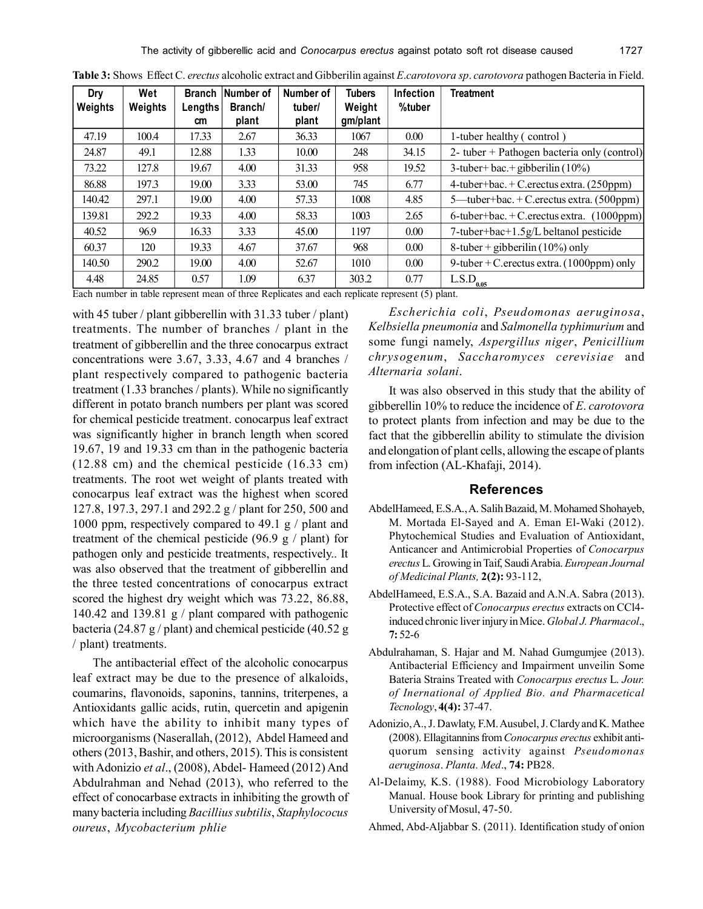| Dry<br>Weights | Wet<br>Weights | <b>Branch</b><br>Lengths<br>cm | Number of<br>Branch/<br>plant | Number of<br>tuber/<br>plant | <b>Tubers</b><br>Weight<br>gm/plant | Infection<br>%tuber | <b>Treatment</b>                                     |
|----------------|----------------|--------------------------------|-------------------------------|------------------------------|-------------------------------------|---------------------|------------------------------------------------------|
| 47.19          | 100.4          | 17.33                          | 2.67                          | 36.33                        | 1067                                | 0.00                | 1-tuber healthy (control)                            |
| 24.87          | 49.1           | 12.88                          | 1.33                          | 10.00                        | 248                                 | 34.15               | 2- tuber + Pathogen bacteria only (control)          |
| 73.22          | 127.8          | 19.67                          | 4.00                          | 31.33                        | 958                                 | 19.52               | 3-tuber+ bac.+ gibberilin $(10\%)$                   |
| 86.88          | 197.3          | 19.00                          | 3.33                          | 53.00                        | 745                                 | 6.77                | $4$ -tuber+bac. + C. erectus extra. (250ppm)         |
| 140.42         | 297.1          | 19.00                          | 4.00                          | 57.33                        | 1008                                | 4.85                | 5—tuber+bac. $+$ C. erectus extra. (500ppm)          |
| 139.81         | 292.2          | 19.33                          | 4.00                          | 58.33                        | 1003                                | 2.65                | 6-tuber+bac. + C. erectus extra. $(1000 \text{ppm})$ |
| 40.52          | 96.9           | 16.33                          | 3.33                          | 45.00                        | 1197                                | 0.00                | $7$ -tuber+bac+1.5g/L beltanol pesticide             |
| 60.37          | 120            | 19.33                          | 4.67                          | 37.67                        | 968                                 | 0.00                | 8-tuber + gibberilin $(10\%)$ only                   |
| 140.50         | 290.2          | 19.00                          | 4.00                          | 52.67                        | 1010                                | 0.00                | 9-tuber + C. erectus extra. $(1000$ ppm $)$ only     |
| 4.48           | 24.85          | 0.57                           | 1.09                          | 6.37                         | 303.2                               | 0.77                | $L.S.D_{0.05}$                                       |

**Table 3:** Shows Effect C. *erectus* alcoholic extract and Gibberilin against *E*.*carotovora sp*. *carotovora* pathogen Bacteria in Field.

Each number in table represent mean of three Replicates and each replicate represent (5) plant.

with 45 tuber / plant gibberellin with 31.33 tuber / plant) treatments. The number of branches / plant in the treatment of gibberellin and the three conocarpus extract concentrations were 3.67, 3.33, 4.67 and 4 branches / plant respectively compared to pathogenic bacteria treatment (1.33 branches / plants). While no significantly different in potato branch numbers per plant was scored for chemical pesticide treatment. conocarpus leaf extract was significantly higher in branch length when scored 19.67, 19 and 19.33 cm than in the pathogenic bacteria (12.88 cm) and the chemical pesticide (16.33 cm) treatments. The root wet weight of plants treated with conocarpus leaf extract was the highest when scored 127.8, 197.3, 297.1 and 292.2 g / plant for 250, 500 and 1000 ppm, respectively compared to 49.1 g / plant and treatment of the chemical pesticide (96.9 g / plant) for pathogen only and pesticide treatments, respectively.. It was also observed that the treatment of gibberellin and the three tested concentrations of conocarpus extract scored the highest dry weight which was 73.22, 86.88, 140.42 and 139.81 g / plant compared with pathogenic bacteria (24.87 g / plant) and chemical pesticide (40.52 g / plant) treatments.

The antibacterial effect of the alcoholic conocarpus leaf extract may be due to the presence of alkaloids, coumarins, flavonoids, saponins, tannins, triterpenes, a Antioxidants gallic acids, rutin, quercetin and apigenin which have the ability to inhibit many types of microorganisms (Naserallah, (2012), Abdel Hameed and others (2013, Bashir, and others, 2015). This is consistent with Adonizio *et al*., (2008), Abdel- Hameed (2012) And Abdulrahman and Nehad (2013), who referred to the effect of conocarbase extracts in inhibiting the growth of many bacteria including *Bacillius subtilis*, *Staphylococus oureus*, *Mycobacterium phlie*

*Escherichia coli*, *Pseudomonas aeruginosa*, *Kelbsiella pneumonia* and *Salmonella typhimurium* and some fungi namely, *Aspergillus niger*, *Penicillium chrysogenum*, *Saccharomyces cerevisiae* and *Alternaria solani*.

It was also observed in this study that the ability of gibberellin 10% to reduce the incidence of *E*. *carotovora* to protect plants from infection and may be due to the fact that the gibberellin ability to stimulate the division and elongation of plant cells, allowing the escape of plants from infection (AL-Khafaji, 2014).

#### **References**

- AbdelHameed, E.S.A., A. Salih Bazaid, M. Mohamed Shohayeb, M. Mortada El-Sayed and A. Eman El-Waki (2012). Phytochemical Studies and Evaluation of Antioxidant, Anticancer and Antimicrobial Properties of *Conocarpus erectus* L. Growing in Taif, Saudi Arabia. *European Journal of Medicinal Plants,* **2(2):** 93-112,
- AbdelHameed, E.S.A., S.A. Bazaid and A.N.A. Sabra (2013). Protective effect of *Conocarpus erectus* extracts on CCl4 induced chronic liver injury in Mice. *Global J. Pharmacol*., **7:** 52-6
- Abdulrahaman, S. Hajar and M. Nahad Gumgumjee (2013). Antibacterial Efficiency and Impairment unveilin Some Bateria Strains Treated with *Conocarpus erectus* L. *Jour. of Inernational of Applied Bio. and Pharmacetical Tecnology*, **4(4):** 37-47.
- Adonizio, A., J. Dawlaty, F.M. Ausubel, J. Clardy and K. Mathee (2008). Ellagitannins from *Conocarpus erectus* exhibit antiquorum sensing activity against *Pseudomonas aeruginosa*. *Planta. Med*., **74:** PB28.
- Al-Delaimy, K.S. (1988). Food Microbiology Laboratory Manual. House book Library for printing and publishing University of Mosul, 47-50.
- Ahmed, Abd-Aljabbar S. (2011). Identification study of onion